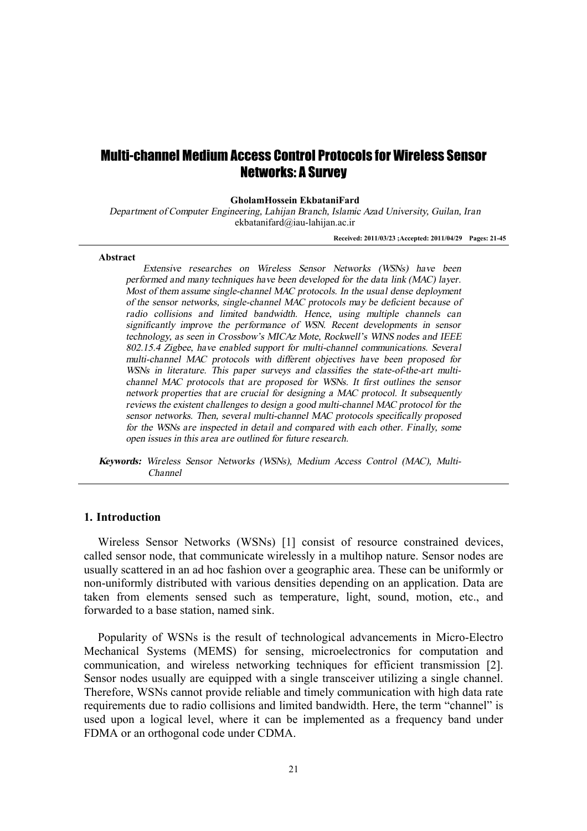# Multi-channel Medium Access Control Protocols for Wireless Sensor Networks: A Survey

#### **GholamHossein EkbataniFard**

*Department of Computer Engineering, Lahijan Branch, Islamic Azad University, Guilan, Iran*  ekbatanifard@iau-lahijan.ac.ir

**Received: 2011/03/23 ;Accepted: 2011/04/29 Pages: 21-45** 

**Abstract** 

*Extensive researches on Wireless Sensor Networks (WSNs) have been performed and many techniques have been developed for the data link (MAC) layer. Most of them assume single-channel MAC protocols. In the usual dense deployment of the sensor networks, single-channel MAC protocols may be deficient because of radio collisions and limited bandwidth. Hence, using multiple channels can significantly improve the performance of WSN. Recent developments in sensor technology, as seen in Crossbow'<sup>s</sup> MICAz Mote, Rockwell'<sup>s</sup> WINS nodes and IEEE 802.15.4 Zigbee, have enabled support for multi-channel communications. Several multi-channel MAC protocols with different objectives have been proposed for WSNs in literature. This paper surveys and classifies the state-of-the-art multichannel MAC protocols that are proposed for WSNs. It first outlines the sensor network properties that are crucial for designing <sup>a</sup> MAC protocol. It subsequently reviews the existent challenges to design a good multi-channel MAC protocol for the sensor networks. Then, several multi-channel MAC protocols specifically proposed for the WSNs are inspected in detail and compared with each other. Finally, some open issues in this area are outlined for future research.* 

*Keywords: Wireless Sensor Networks (WSNs), Medium Access Control (MAC), Multi-Channel* 

### **1. Introduction**

Wireless Sensor Networks (WSNs) [1] consist of resource constrained devices, called sensor node, that communicate wirelessly in a multihop nature. Sensor nodes are usually scattered in an ad hoc fashion over a geographic area. These can be uniformly or non-uniformly distributed with various densities depending on an application. Data are taken from elements sensed such as temperature, light, sound, motion, etc., and forwarded to a base station, named sink.

Popularity of WSNs is the result of technological advancements in Micro-Electro Mechanical Systems (MEMS) for sensing, microelectronics for computation and communication, and wireless networking techniques for efficient transmission [2]. Sensor nodes usually are equipped with a single transceiver utilizing a single channel. Therefore, WSNs cannot provide reliable and timely communication with high data rate requirements due to radio collisions and limited bandwidth. Here, the term "channel" is used upon a logical level, where it can be implemented as a frequency band under FDMA or an orthogonal code under CDMA.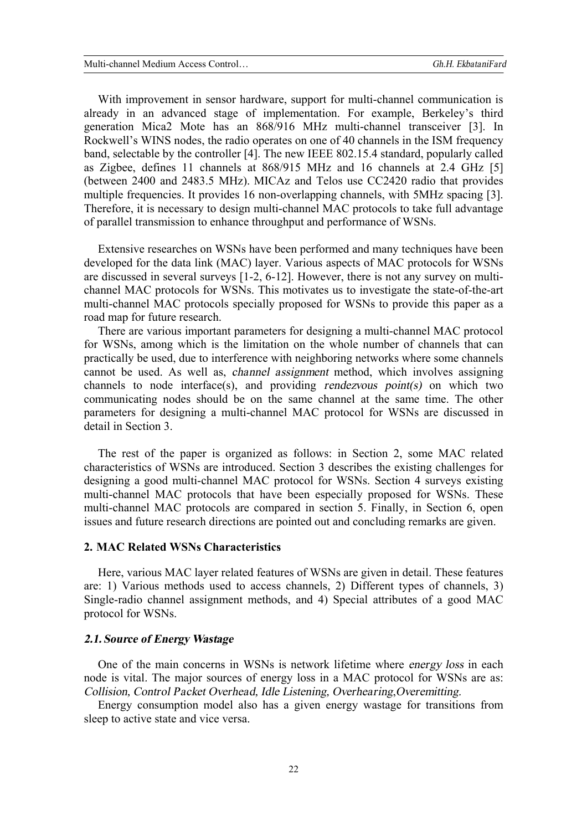With improvement in sensor hardware, support for multi-channel communication is already in an advanced stage of implementation. For example, Berkeley's third generation Mica2 Mote has an 868/916 MHz multi-channel transceiver [3]. In Rockwell's WINS nodes, the radio operates on one of 40 channels in the ISM frequency band, selectable by the controller [4]. The new IEEE 802.15.4 standard, popularly called as Zigbee, defines 11 channels at 868/915 MHz and 16 channels at 2.4 GHz [5] (between 2400 and 2483.5 MHz). MICAz and Telos use CC2420 radio that provides multiple frequencies. It provides 16 non-overlapping channels, with 5MHz spacing [3]. Therefore, it is necessary to design multi-channel MAC protocols to take full advantage of parallel transmission to enhance throughput and performance of WSNs.

Extensive researches on WSNs have been performed and many techniques have been developed for the data link (MAC) layer. Various aspects of MAC protocols for WSNs are discussed in several surveys [1-2, 6-12]. However, there is not any survey on multichannel MAC protocols for WSNs. This motivates us to investigate the state-of-the-art multi-channel MAC protocols specially proposed for WSNs to provide this paper as a road map for future research.

There are various important parameters for designing a multi-channel MAC protocol for WSNs, among which is the limitation on the whole number of channels that can practically be used, due to interference with neighboring networks where some channels cannot be used. As well as, *channel assignment* method, which involves assigning channels to node interface(s), and providing *rendezvous point(s)* on which two communicating nodes should be on the same channel at the same time. The other parameters for designing a multi-channel MAC protocol for WSNs are discussed in detail in Section 3.

The rest of the paper is organized as follows: in Section 2, some MAC related characteristics of WSNs are introduced. Section 3 describes the existing challenges for designing a good multi-channel MAC protocol for WSNs. Section 4 surveys existing multi-channel MAC protocols that have been especially proposed for WSNs. These multi-channel MAC protocols are compared in section 5. Finally, in Section 6, open issues and future research directions are pointed out and concluding remarks are given.

### **2. MAC Related WSNs Characteristics**

Here, various MAC layer related features of WSNs are given in detail. These features are: 1) Various methods used to access channels, 2) Different types of channels, 3) Single-radio channel assignment methods, and 4) Special attributes of a good MAC protocol for WSNs.

#### *2.1. Source of Energy Wastage*

One of the main concerns in WSNs is network lifetime where *energy loss* in each node is vital*.* The major sources of energy loss in a MAC protocol for WSNs are as: *Collision, Control Packet Overhead, Idle Listening, Overhearing*,*Overemitting.*

Energy consumption model also has a given energy wastage for transitions from sleep to active state and vice versa.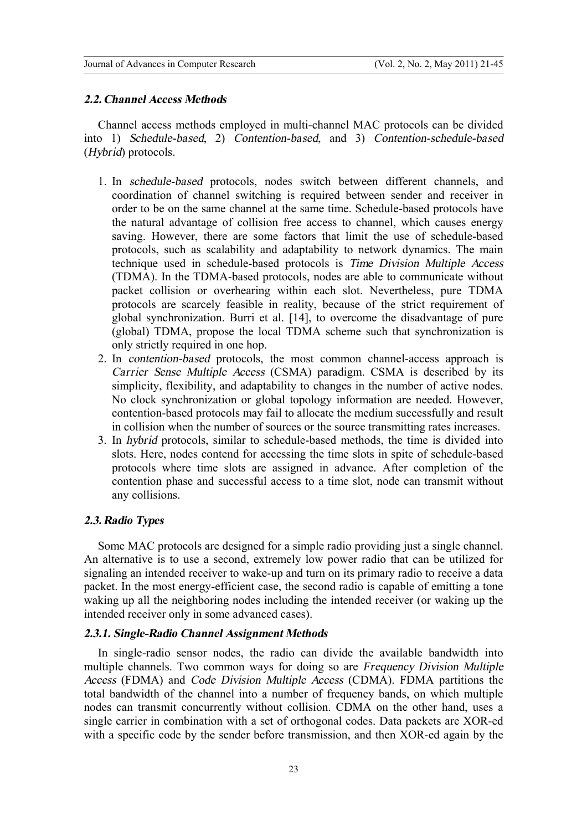#### *2.2. Channel Access Methods*

Channel access methods employed in multi-channel MAC protocols can be divided into 1) *Schedule-based*, 2) *Contention-based,* and 3) *Contention-schedule-based* (*Hybrid*) protocols.

- 1. In *schedule-based* protocols, nodes switch between different channels, and coordination of channel switching is required between sender and receiver in order to be on the same channel at the same time. Schedule-based protocols have the natural advantage of collision free access to channel, which causes energy saving. However, there are some factors that limit the use of schedule-based protocols, such as scalability and adaptability to network dynamics. The main technique used in schedule-based protocols is *Time Division Multiple Access* (TDMA). In the TDMA-based protocols, nodes are able to communicate without packet collision or overhearing within each slot. Nevertheless, pure TDMA protocols are scarcely feasible in reality, because of the strict requirement of global synchronization. Burri et al. [14], to overcome the disadvantage of pure (global) TDMA, propose the local TDMA scheme such that synchronization is only strictly required in one hop.
- 2. In *contention-based* protocols, the most common channel-access approach is *Carrier Sense Multiple Access* (CSMA) paradigm. CSMA is described by its simplicity, flexibility, and adaptability to changes in the number of active nodes. No clock synchronization or global topology information are needed. However, contention-based protocols may fail to allocate the medium successfully and result in collision when the number of sources or the source transmitting rates increases.
- 3. In *hybrid* protocols, similar to schedule-based methods, the time is divided into slots. Here, nodes contend for accessing the time slots in spite of schedule-based protocols where time slots are assigned in advance. After completion of the contention phase and successful access to a time slot, node can transmit without any collisions.

#### *2.3. Radio Types*

Some MAC protocols are designed for a simple radio providing just a single channel. An alternative is to use a second, extremely low power radio that can be utilized for signaling an intended receiver to wake-up and turn on its primary radio to receive a data packet. In the most energy-efficient case, the second radio is capable of emitting a tone waking up all the neighboring nodes including the intended receiver (or waking up the intended receiver only in some advanced cases).

### *2.3.1. Single-Radio Channel Assignment Methods*

In single-radio sensor nodes, the radio can divide the available bandwidth into multiple channels. Two common ways for doing so are *Frequency Division Multiple Access* (FDMA) and *Code Division Multiple Access* (CDMA). FDMA partitions the total bandwidth of the channel into a number of frequency bands, on which multiple nodes can transmit concurrently without collision. CDMA on the other hand, uses a single carrier in combination with a set of orthogonal codes. Data packets are XOR-ed with a specific code by the sender before transmission, and then XOR-ed again by the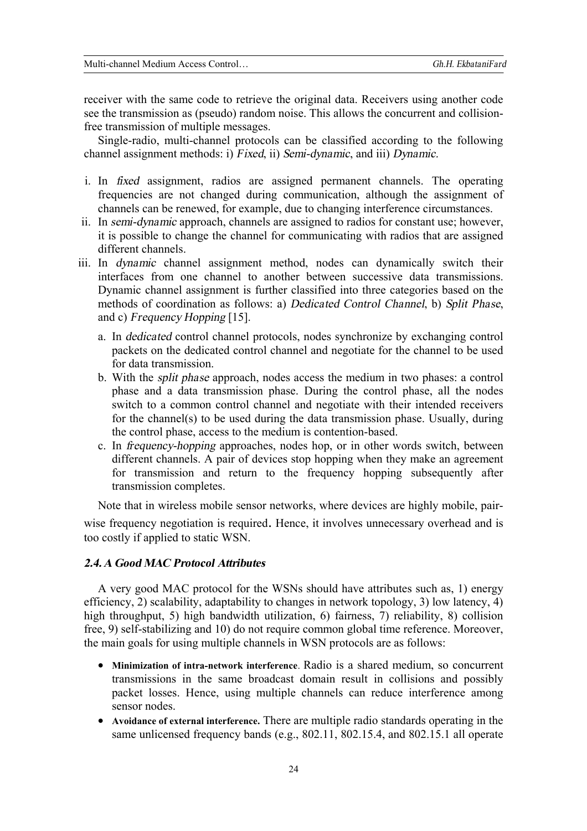receiver with the same code to retrieve the original data. Receivers using another code see the transmission as (pseudo) random noise. This allows the concurrent and collisionfree transmission of multiple messages.

Single-radio, multi-channel protocols can be classified according to the following channel assignment methods: i) *Fixed*, ii) *Semi-dynamic*, and iii) *Dynamic.*

- i. In *fixed* assignment, radios are assigned permanent channels. The operating frequencies are not changed during communication, although the assignment of channels can be renewed, for example, due to changing interference circumstances.
- ii. In *semi-dynamic* approach, channels are assigned to radios for constant use; however, it is possible to change the channel for communicating with radios that are assigned different channels.
- iii. In *dynamic* channel assignment method, nodes can dynamically switch their interfaces from one channel to another between successive data transmissions. Dynamic channel assignment is further classified into three categories based on the methods of coordination as follows: a) *Dedicated Control Channel*, b) *Split Phase*, and c) *Frequency Hopping* [15].
	- a. In *dedicated* control channel protocols, nodes synchronize by exchanging control packets on the dedicated control channel and negotiate for the channel to be used for data transmission.
	- b. With the *split phase* approach, nodes access the medium in two phases: a control phase and a data transmission phase. During the control phase, all the nodes switch to a common control channel and negotiate with their intended receivers for the channel(s) to be used during the data transmission phase. Usually, during the control phase, access to the medium is contention-based.
	- c. In *frequency-hopping* approaches, nodes hop, or in other words switch, between different channels. A pair of devices stop hopping when they make an agreement for transmission and return to the frequency hopping subsequently after transmission completes.

Note that in wireless mobile sensor networks, where devices are highly mobile, pairwise frequency negotiation is required. Hence, it involves unnecessary overhead and is too costly if applied to static WSN.

### *2.4. A Good MAC Protocol Attributes*

A very good MAC protocol for the WSNs should have attributes such as, 1) energy efficiency, 2) scalability, adaptability to changes in network topology, 3) low latency, 4) high throughput, 5) high bandwidth utilization, 6) fairness, 7) reliability, 8) collision free, 9) self-stabilizing and 10) do not require common global time reference. Moreover, the main goals for using multiple channels in WSN protocols are as follows:

- · **Minimization of intra-network interference**. Radio is a shared medium, so concurrent transmissions in the same broadcast domain result in collisions and possibly packet losses. Hence, using multiple channels can reduce interference among sensor nodes.
- · **Avoidance of external interference.** There are multiple radio standards operating in the same unlicensed frequency bands (e.g., 802.11, 802.15.4, and 802.15.1 all operate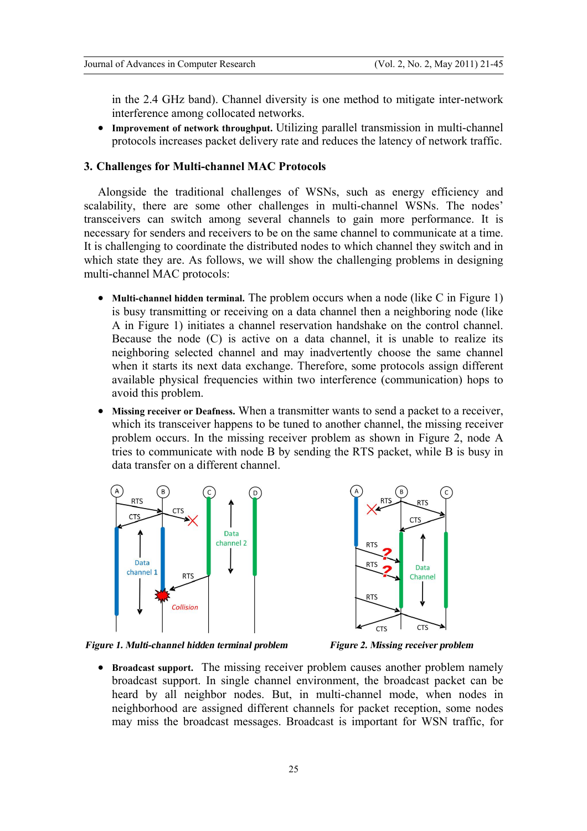in the 2.4 GHz band). Channel diversity is one method to mitigate inter-network interference among collocated networks.

· **Improvement of network throughput.** Utilizing parallel transmission in multi-channel protocols increases packet delivery rate and reduces the latency of network traffic.

#### **3. Challenges for Multi-channel MAC Protocols**

Alongside the traditional challenges of WSNs, such as energy efficiency and scalability, there are some other challenges in multi-channel WSNs. The nodes' transceivers can switch among several channels to gain more performance. It is necessary for senders and receivers to be on the same channel to communicate at a time. It is challenging to coordinate the distributed nodes to which channel they switch and in which state they are. As follows, we will show the challenging problems in designing multi-channel MAC protocols:

- · **Multi-channel hidden terminal.** The problem occurs when a node (like C in Figure 1) is busy transmitting or receiving on a data channel then a neighboring node (like A in Figure 1) initiates a channel reservation handshake on the control channel. Because the node (C) is active on a data channel, it is unable to realize its neighboring selected channel and may inadvertently choose the same channel when it starts its next data exchange. Therefore, some protocols assign different available physical frequencies within two interference (communication) hops to avoid this problem.
- · **Missing receiver or Deafness.** When a transmitter wants to send a packet to a receiver, which its transceiver happens to be tuned to another channel, the missing receiver problem occurs. In the missing receiver problem as shown in Figure 2, node A tries to communicate with node B by sending the RTS packet, while B is busy in data transfer on a different channel.



*Figure 1. Multi-channel hidden terminal problem Figure 2. Missing receiver problem* 

Data

Channel

**CTS** 

· **Broadcast support.** The missing receiver problem causes another problem namely broadcast support. In single channel environment, the broadcast packet can be heard by all neighbor nodes. But, in multi-channel mode, when nodes in neighborhood are assigned different channels for packet reception, some nodes may miss the broadcast messages. Broadcast is important for WSN traffic, for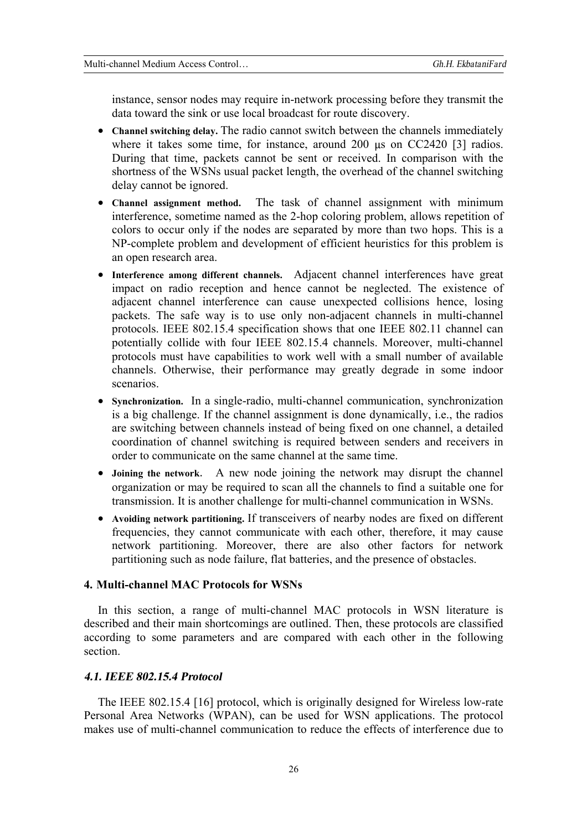instance, sensor nodes may require in-network processing before they transmit the data toward the sink or use local broadcast for route discovery.

- · **Channel switching delay.** The radio cannot switch between the channels immediately where it takes some time, for instance, around  $200 \mu s$  on CC2420 [3] radios. During that time, packets cannot be sent or received. In comparison with the shortness of the WSNs usual packet length, the overhead of the channel switching delay cannot be ignored.
- · **Channel assignment method.** The task of channel assignment with minimum interference, sometime named as the 2-hop coloring problem, allows repetition of colors to occur only if the nodes are separated by more than two hops. This is a NP-complete problem and development of efficient heuristics for this problem is an open research area.
- · **Interference among different channels.** Adjacent channel interferences have great impact on radio reception and hence cannot be neglected. The existence of adjacent channel interference can cause unexpected collisions hence, losing packets. The safe way is to use only non-adjacent channels in multi-channel protocols. IEEE 802.15.4 specification shows that one IEEE 802.11 channel can potentially collide with four IEEE 802.15.4 channels. Moreover, multi-channel protocols must have capabilities to work well with a small number of available channels. Otherwise, their performance may greatly degrade in some indoor scenarios.
- · **Synchronization.** In a single-radio, multi-channel communication, synchronization is a big challenge. If the channel assignment is done dynamically, i.e., the radios are switching between channels instead of being fixed on one channel, a detailed coordination of channel switching is required between senders and receivers in order to communicate on the same channel at the same time.
- · **Joining the network**. A new node joining the network may disrupt the channel organization or may be required to scan all the channels to find a suitable one for transmission. It is another challenge for multi-channel communication in WSNs.
- · **Avoiding network partitioning.** If transceivers of nearby nodes are fixed on different frequencies, they cannot communicate with each other, therefore, it may cause network partitioning. Moreover, there are also other factors for network partitioning such as node failure, flat batteries, and the presence of obstacles.

### **4. Multi-channel MAC Protocols for WSNs**

In this section, a range of multi-channel MAC protocols in WSN literature is described and their main shortcomings are outlined. Then, these protocols are classified according to some parameters and are compared with each other in the following section.

# *4.1. IEEE 802.15.4 Protocol*

The IEEE 802.15.4 [16] protocol, which is originally designed for Wireless low-rate Personal Area Networks (WPAN), can be used for WSN applications. The protocol makes use of multi-channel communication to reduce the effects of interference due to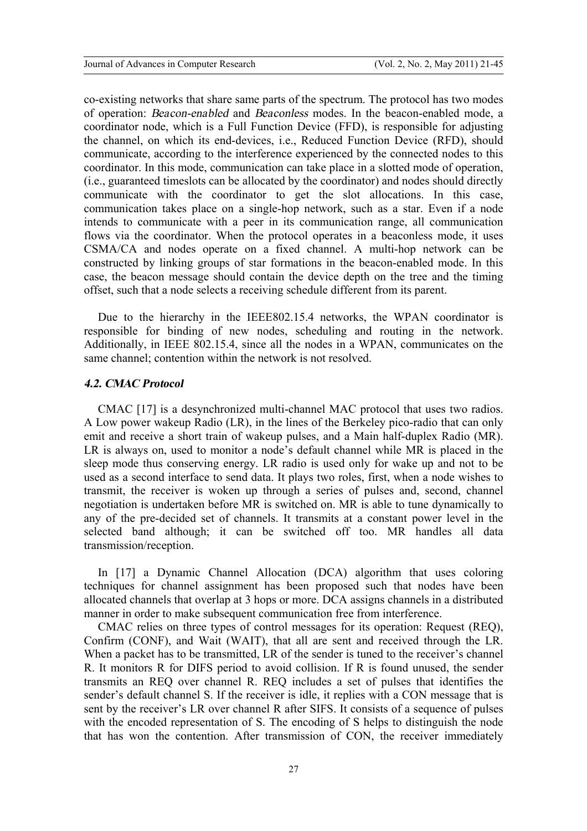co-existing networks that share same parts of the spectrum. The protocol has two modes of operation: *Beacon-enabled* and *Beaconless* modes. In the beacon-enabled mode, a coordinator node, which is a Full Function Device (FFD), is responsible for adjusting the channel, on which its end-devices, i.e., Reduced Function Device (RFD), should communicate, according to the interference experienced by the connected nodes to this coordinator. In this mode, communication can take place in a slotted mode of operation, (i.e., guaranteed timeslots can be allocated by the coordinator) and nodes should directly communicate with the coordinator to get the slot allocations. In this case, communication takes place on a single-hop network, such as a star. Even if a node intends to communicate with a peer in its communication range, all communication flows via the coordinator. When the protocol operates in a beaconless mode, it uses CSMA/CA and nodes operate on a fixed channel. A multi-hop network can be constructed by linking groups of star formations in the beacon-enabled mode. In this case, the beacon message should contain the device depth on the tree and the timing offset, such that a node selects a receiving schedule different from its parent.

Due to the hierarchy in the IEEE802.15.4 networks, the WPAN coordinator is responsible for binding of new nodes, scheduling and routing in the network. Additionally, in IEEE 802.15.4, since all the nodes in a WPAN, communicates on the same channel; contention within the network is not resolved.

#### *4.2. CMAC Protocol*

CMAC [17] is a desynchronized multi-channel MAC protocol that uses two radios. A Low power wakeup Radio (LR), in the lines of the Berkeley pico-radio that can only emit and receive a short train of wakeup pulses, and a Main half-duplex Radio (MR). LR is always on, used to monitor a node's default channel while MR is placed in the sleep mode thus conserving energy. LR radio is used only for wake up and not to be used as a second interface to send data. It plays two roles, first, when a node wishes to transmit, the receiver is woken up through a series of pulses and, second, channel negotiation is undertaken before MR is switched on. MR is able to tune dynamically to any of the pre-decided set of channels. It transmits at a constant power level in the selected band although; it can be switched off too. MR handles all data transmission/reception.

In [17] a Dynamic Channel Allocation (DCA) algorithm that uses coloring techniques for channel assignment has been proposed such that nodes have been allocated channels that overlap at 3 hops or more. DCA assigns channels in a distributed manner in order to make subsequent communication free from interference.

CMAC relies on three types of control messages for its operation: Request (REQ), Confirm (CONF), and Wait (WAIT), that all are sent and received through the LR. When a packet has to be transmitted. LR of the sender is tuned to the receiver's channel R. It monitors R for DIFS period to avoid collision. If R is found unused, the sender transmits an REQ over channel R. REQ includes a set of pulses that identifies the sender's default channel S. If the receiver is idle, it replies with a CON message that is sent by the receiver's LR over channel R after SIFS. It consists of a sequence of pulses with the encoded representation of S. The encoding of S helps to distinguish the node that has won the contention. After transmission of CON, the receiver immediately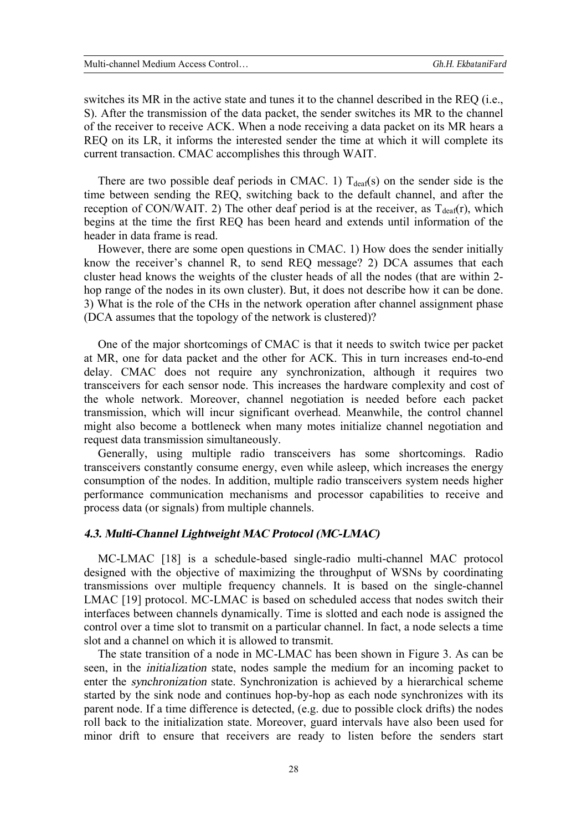switches its MR in the active state and tunes it to the channel described in the REQ (i.e., S). After the transmission of the data packet, the sender switches its MR to the channel of the receiver to receive ACK. When a node receiving a data packet on its MR hears a REQ on its LR, it informs the interested sender the time at which it will complete its current transaction. CMAC accomplishes this through WAIT.

There are two possible deaf periods in CMAC. 1)  $T_{\text{dead}}(s)$  on the sender side is the time between sending the REQ, switching back to the default channel, and after the reception of CON/WAIT. 2) The other deaf period is at the receiver, as  $T_{\text{death}}(r)$ , which begins at the time the first REQ has been heard and extends until information of the header in data frame is read.

However, there are some open questions in CMAC. 1) How does the sender initially know the receiver's channel R, to send REQ message? 2) DCA assumes that each cluster head knows the weights of the cluster heads of all the nodes (that are within 2 hop range of the nodes in its own cluster). But, it does not describe how it can be done. 3) What is the role of the CHs in the network operation after channel assignment phase (DCA assumes that the topology of the network is clustered)?

One of the major shortcomings of CMAC is that it needs to switch twice per packet at MR, one for data packet and the other for ACK. This in turn increases end-to-end delay. CMAC does not require any synchronization, although it requires two transceivers for each sensor node. This increases the hardware complexity and cost of the whole network. Moreover, channel negotiation is needed before each packet transmission, which will incur significant overhead. Meanwhile, the control channel might also become a bottleneck when many motes initialize channel negotiation and request data transmission simultaneously.

Generally, using multiple radio transceivers has some shortcomings. Radio transceivers constantly consume energy, even while asleep, which increases the energy consumption of the nodes. In addition, multiple radio transceivers system needs higher performance communication mechanisms and processor capabilities to receive and process data (or signals) from multiple channels.

#### *4.3. Multi-Channel Lightweight MAC Protocol (MC-LMAC)*

MC-LMAC [18] is a schedule-based single-radio multi-channel MAC protocol designed with the objective of maximizing the throughput of WSNs by coordinating transmissions over multiple frequency channels. It is based on the single-channel LMAC [19] protocol. MC-LMAC is based on scheduled access that nodes switch their interfaces between channels dynamically. Time is slotted and each node is assigned the control over a time slot to transmit on a particular channel. In fact, a node selects a time slot and a channel on which it is allowed to transmit.

The state transition of a node in MC-LMAC has been shown in Figure 3. As can be seen, in the *initialization* state, nodes sample the medium for an incoming packet to enter the *synchronization* state. Synchronization is achieved by a hierarchical scheme started by the sink node and continues hop-by-hop as each node synchronizes with its parent node. If a time difference is detected, (e.g. due to possible clock drifts) the nodes roll back to the initialization state. Moreover, guard intervals have also been used for minor drift to ensure that receivers are ready to listen before the senders start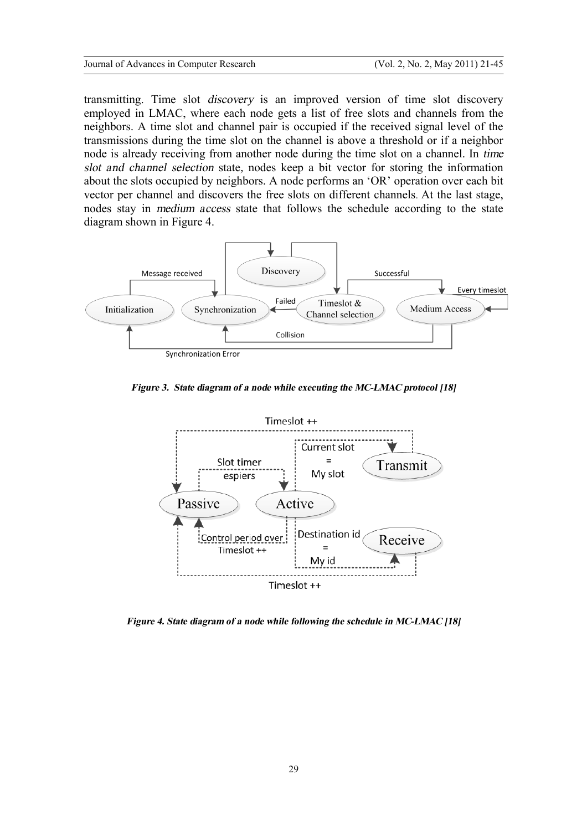transmitting. Time slot *discovery* is an improved version of time slot discovery employed in LMAC, where each node gets a list of free slots and channels from the neighbors. A time slot and channel pair is occupied if the received signal level of the transmissions during the time slot on the channel is above a threshold or if a neighbor node is already receiving from another node during the time slot on a channel. In *time slot and channel selection* state*,* nodes keep a bit vector for storing the information about the slots occupied by neighbors. A node performs an 'OR' operation over each bit vector per channel and discovers the free slots on different channels. At the last stage, nodes stay in *medium access* state that follows the schedule according to the state diagram shown in Figure 4.



*Figure 3. State diagram of a node while executing the MC-LMAC protocol [18]* 



*Figure 4. State diagram of a node while following the schedule in MC-LMAC [18]*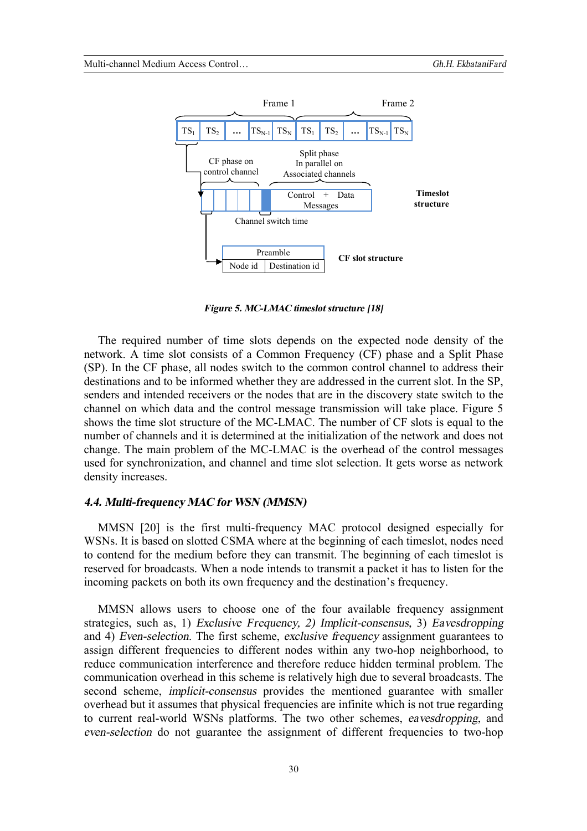

*Figure 5. MC-LMAC timeslot structure [18]* 

The required number of time slots depends on the expected node density of the network. A time slot consists of a Common Frequency (CF) phase and a Split Phase (SP). In the CF phase, all nodes switch to the common control channel to address their destinations and to be informed whether they are addressed in the current slot. In the SP, senders and intended receivers or the nodes that are in the discovery state switch to the channel on which data and the control message transmission will take place. Figure 5 shows the time slot structure of the MC-LMAC. The number of CF slots is equal to the number of channels and it is determined at the initialization of the network and does not change. The main problem of the MC-LMAC is the overhead of the control messages used for synchronization, and channel and time slot selection. It gets worse as network density increases.

#### *4.4. Multi-frequency MAC for WSN (MMSN)*

MMSN [20] is the first multi-frequency MAC protocol designed especially for WSNs. It is based on slotted CSMA where at the beginning of each timeslot, nodes need to contend for the medium before they can transmit. The beginning of each timeslot is reserved for broadcasts. When a node intends to transmit a packet it has to listen for the incoming packets on both its own frequency and the destination's frequency.

MMSN allows users to choose one of the four available frequency assignment strategies, such as, 1) *Exclusive Frequency, 2) Implicit-consensus,* 3) *Eavesdropping*  and 4) *Even-selection.* The first scheme, *exclusive frequency* assignment guarantees to assign different frequencies to different nodes within any two-hop neighborhood, to reduce communication interference and therefore reduce hidden terminal problem. The communication overhead in this scheme is relatively high due to several broadcasts. The second scheme, *implicit-consensus* provides the mentioned guarantee with smaller overhead but it assumes that physical frequencies are infinite which is not true regarding to current real-world WSNs platforms. The two other schemes, *eavesdropping,* and *even-selection* do not guarantee the assignment of different frequencies to two-hop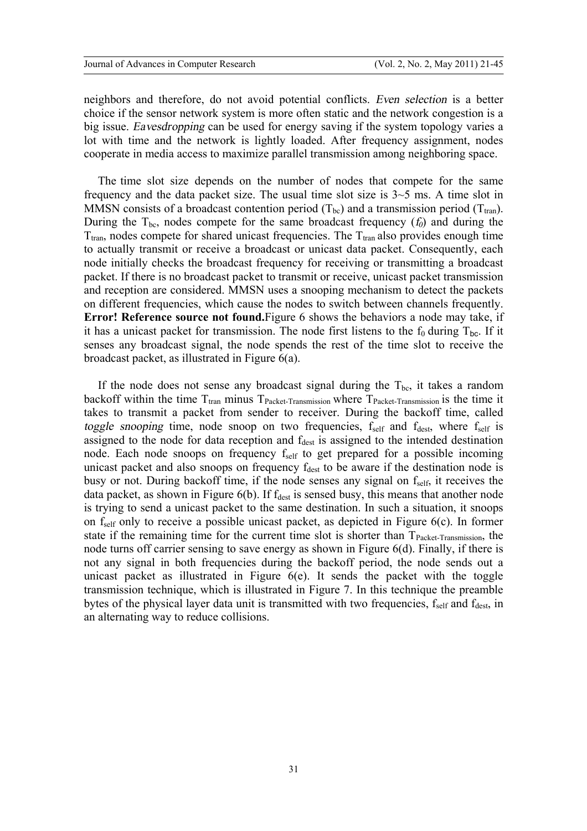neighbors and therefore, do not avoid potential conflicts. *Even selection* is a better choice if the sensor network system is more often static and the network congestion is a big issue. *Eavesdropping* can be used for energy saving if the system topology varies a lot with time and the network is lightly loaded. After frequency assignment, nodes cooperate in media access to maximize parallel transmission among neighboring space.

The time slot size depends on the number of nodes that compete for the same frequency and the data packet size. The usual time slot size is  $3\neg 5$  ms. A time slot in MMSN consists of a broadcast contention period ( $T_{bc}$ ) and a transmission period ( $T_{tran}$ ). During the  $T_{bc}$ , nodes compete for the same broadcast frequency  $(f_0)$  and during the  $T_{tran}$ , nodes compete for shared unicast frequencies. The  $T_{tran}$  also provides enough time to actually transmit or receive a broadcast or unicast data packet. Consequently, each node initially checks the broadcast frequency for receiving or transmitting a broadcast packet. If there is no broadcast packet to transmit or receive, unicast packet transmission and reception are considered. MMSN uses a snooping mechanism to detect the packets on different frequencies, which cause the nodes to switch between channels frequently. **Error! Reference source not found.**Figure 6 shows the behaviors a node may take, if it has a unicast packet for transmission. The node first listens to the  $f_0$  during  $T_{bc}$ . If it senses any broadcast signal, the node spends the rest of the time slot to receive the broadcast packet, as illustrated in Figure 6(a).

If the node does not sense any broadcast signal during the  $T_{bc}$ , it takes a random backoff within the time  $T_{tran}$  minus  $T_{Packet-Transmission}$  where  $T_{Packet-Transmission}$  is the time it takes to transmit a packet from sender to receiver. During the backoff time, called *toggle snooping* time, node snoop on two frequencies,  $f_{\text{self}}$  and  $f_{\text{dest}}$ , where  $f_{\text{self}}$  is assigned to the node for data reception and f<sub>dest</sub> is assigned to the intended destination node. Each node snoops on frequency f<sub>self</sub> to get prepared for a possible incoming unicast packet and also snoops on frequency  $f_{\text{dest}}$  to be aware if the destination node is busy or not. During backoff time, if the node senses any signal on  $f_{\text{self}}$ , it receives the data packet, as shown in Figure  $6(b)$ . If  $f_{dest}$  is sensed busy, this means that another node is trying to send a unicast packet to the same destination. In such a situation, it snoops on  $f<sub>self</sub>$  only to receive a possible unicast packet, as depicted in Figure 6(c). In former state if the remaining time for the current time slot is shorter than  $T_{Packet-Transmission}$ , the node turns off carrier sensing to save energy as shown in Figure 6(d). Finally, if there is not any signal in both frequencies during the backoff period, the node sends out a unicast packet as illustrated in Figure 6(e). It sends the packet with the toggle transmission technique, which is illustrated in Figure 7. In this technique the preamble bytes of the physical layer data unit is transmitted with two frequencies,  $f_{self}$  and  $f_{dest}$ , in an alternating way to reduce collisions.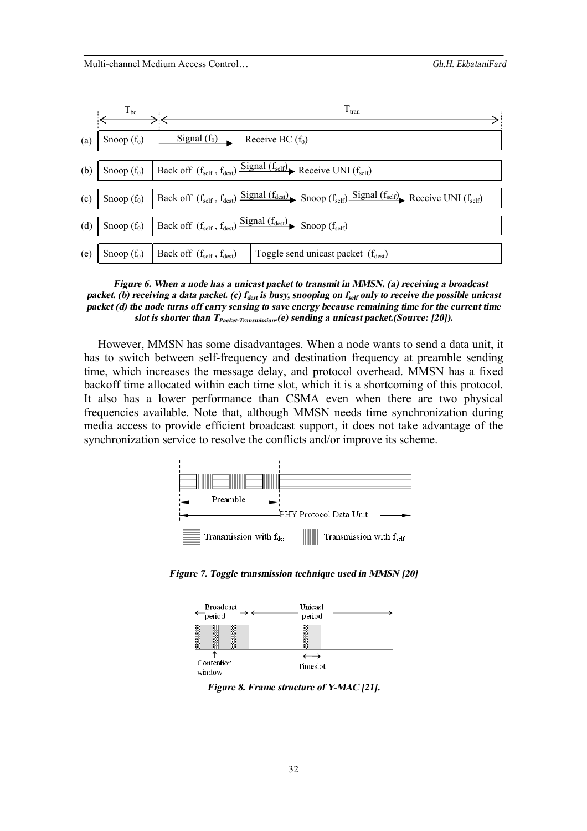

*Figure 6. When a node has a unicast packet to transmit in MMSN. (a) receiving a broadcast packet. (b) receiving a data packet. (c) fdest is busy, snooping on fself only to receive the possible unicast packet (d) the node turns off carry sensing to save energy because remaining time for the current time slot is shorter than TPacket-Transmission.(e) sending a unicast packet.(Source: [20]).* 

However, MMSN has some disadvantages. When a node wants to send a data unit, it has to switch between self-frequency and destination frequency at preamble sending time, which increases the message delay, and protocol overhead. MMSN has a fixed backoff time allocated within each time slot, which it is a shortcoming of this protocol. It also has a lower performance than CSMA even when there are two physical frequencies available. Note that, although MMSN needs time synchronization during media access to provide efficient broadcast support, it does not take advantage of the synchronization service to resolve the conflicts and/or improve its scheme.



*Figure 7. Toggle transmission technique used in MMSN [20]* 



*Figure 8. Frame structure of Y-MAC [21].*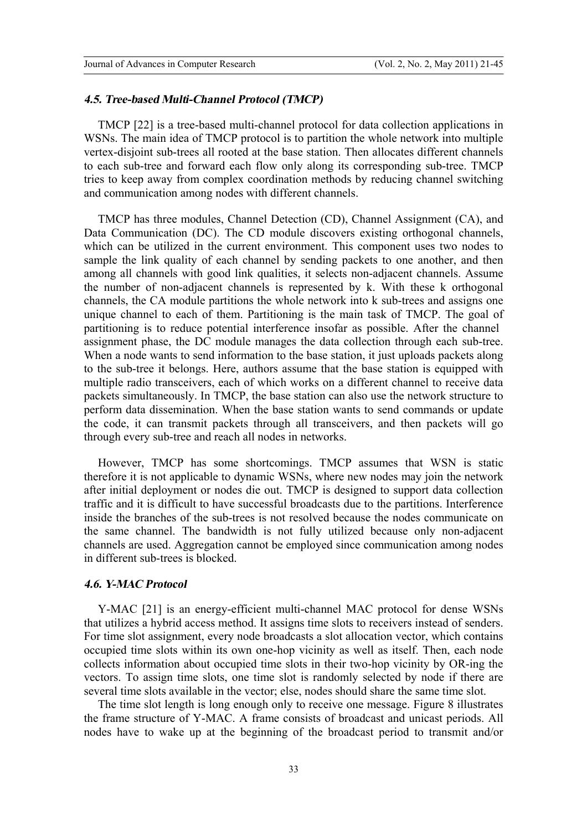#### *4.5. Tree-based Multi-Channel Protocol (TMCP)*

TMCP [22] is a tree-based multi-channel protocol for data collection applications in WSNs. The main idea of TMCP protocol is to partition the whole network into multiple vertex-disjoint sub-trees all rooted at the base station. Then allocates different channels to each sub-tree and forward each flow only along its corresponding sub-tree. TMCP tries to keep away from complex coordination methods by reducing channel switching and communication among nodes with different channels.

TMCP has three modules, Channel Detection (CD), Channel Assignment (CA), and Data Communication (DC). The CD module discovers existing orthogonal channels, which can be utilized in the current environment. This component uses two nodes to sample the link quality of each channel by sending packets to one another, and then among all channels with good link qualities, it selects non-adjacent channels. Assume the number of non-adjacent channels is represented by k. With these k orthogonal channels, the CA module partitions the whole network into k sub-trees and assigns one unique channel to each of them. Partitioning is the main task of TMCP. The goal of partitioning is to reduce potential interference insofar as possible. After the channel assignment phase, the DC module manages the data collection through each sub-tree. When a node wants to send information to the base station, it just uploads packets along to the sub-tree it belongs. Here, authors assume that the base station is equipped with multiple radio transceivers, each of which works on a different channel to receive data packets simultaneously. In TMCP, the base station can also use the network structure to perform data dissemination. When the base station wants to send commands or update the code, it can transmit packets through all transceivers, and then packets will go through every sub-tree and reach all nodes in networks.

However, TMCP has some shortcomings. TMCP assumes that WSN is static therefore it is not applicable to dynamic WSNs, where new nodes may join the network after initial deployment or nodes die out. TMCP is designed to support data collection traffic and it is difficult to have successful broadcasts due to the partitions. Interference inside the branches of the sub-trees is not resolved because the nodes communicate on the same channel. The bandwidth is not fully utilized because only non-adjacent channels are used. Aggregation cannot be employed since communication among nodes in different sub-trees is blocked.

### *4.6. Y-MAC Protocol*

Y-MAC [21] is an energy-efficient multi-channel MAC protocol for dense WSNs that utilizes a hybrid access method. It assigns time slots to receivers instead of senders. For time slot assignment, every node broadcasts a slot allocation vector, which contains occupied time slots within its own one-hop vicinity as well as itself. Then, each node collects information about occupied time slots in their two-hop vicinity by OR-ing the vectors. To assign time slots, one time slot is randomly selected by node if there are several time slots available in the vector; else, nodes should share the same time slot.

The time slot length is long enough only to receive one message. Figure 8 illustrates the frame structure of Y-MAC. A frame consists of broadcast and unicast periods. All nodes have to wake up at the beginning of the broadcast period to transmit and/or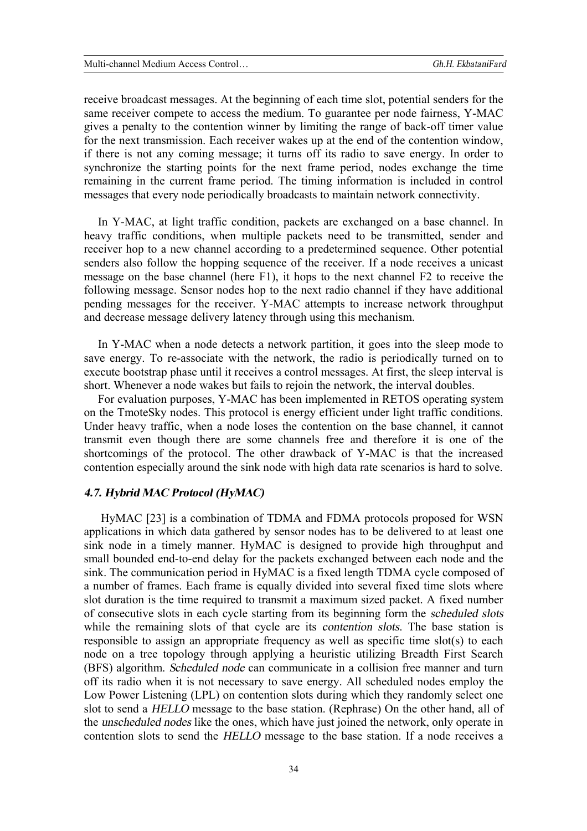receive broadcast messages. At the beginning of each time slot, potential senders for the same receiver compete to access the medium. To guarantee per node fairness, Y-MAC gives a penalty to the contention winner by limiting the range of back-off timer value for the next transmission. Each receiver wakes up at the end of the contention window, if there is not any coming message; it turns off its radio to save energy. In order to synchronize the starting points for the next frame period, nodes exchange the time remaining in the current frame period. The timing information is included in control messages that every node periodically broadcasts to maintain network connectivity.

In Y-MAC, at light traffic condition, packets are exchanged on a base channel. In heavy traffic conditions, when multiple packets need to be transmitted, sender and receiver hop to a new channel according to a predetermined sequence. Other potential senders also follow the hopping sequence of the receiver. If a node receives a unicast message on the base channel (here F1), it hops to the next channel F2 to receive the following message. Sensor nodes hop to the next radio channel if they have additional pending messages for the receiver. Y-MAC attempts to increase network throughput and decrease message delivery latency through using this mechanism.

In Y-MAC when a node detects a network partition, it goes into the sleep mode to save energy. To re-associate with the network, the radio is periodically turned on to execute bootstrap phase until it receives a control messages. At first, the sleep interval is short. Whenever a node wakes but fails to rejoin the network, the interval doubles.

For evaluation purposes, Y-MAC has been implemented in RETOS operating system on the TmoteSky nodes. This protocol is energy efficient under light traffic conditions. Under heavy traffic, when a node loses the contention on the base channel, it cannot transmit even though there are some channels free and therefore it is one of the shortcomings of the protocol. The other drawback of Y-MAC is that the increased contention especially around the sink node with high data rate scenarios is hard to solve.

### *4.7. Hybrid MAC Protocol (HyMAC)*

 HyMAC [23] is a combination of TDMA and FDMA protocols proposed for WSN applications in which data gathered by sensor nodes has to be delivered to at least one sink node in a timely manner. HyMAC is designed to provide high throughput and small bounded end-to-end delay for the packets exchanged between each node and the sink. The communication period in HyMAC is a fixed length TDMA cycle composed of a number of frames. Each frame is equally divided into several fixed time slots where slot duration is the time required to transmit a maximum sized packet. A fixed number of consecutive slots in each cycle starting from its beginning form the *scheduled slots* while the remaining slots of that cycle are its *contention slots*. The base station is responsible to assign an appropriate frequency as well as specific time slot(s) to each node on a tree topology through applying a heuristic utilizing Breadth First Search (BFS) algorithm. *Scheduled node* can communicate in a collision free manner and turn off its radio when it is not necessary to save energy. All scheduled nodes employ the Low Power Listening (LPL) on contention slots during which they randomly select one slot to send a *HELLO* message to the base station. (Rephrase) On the other hand, all of the *unscheduled nodes* like the ones, which have just joined the network, only operate in contention slots to send the *HELLO* message to the base station. If a node receives a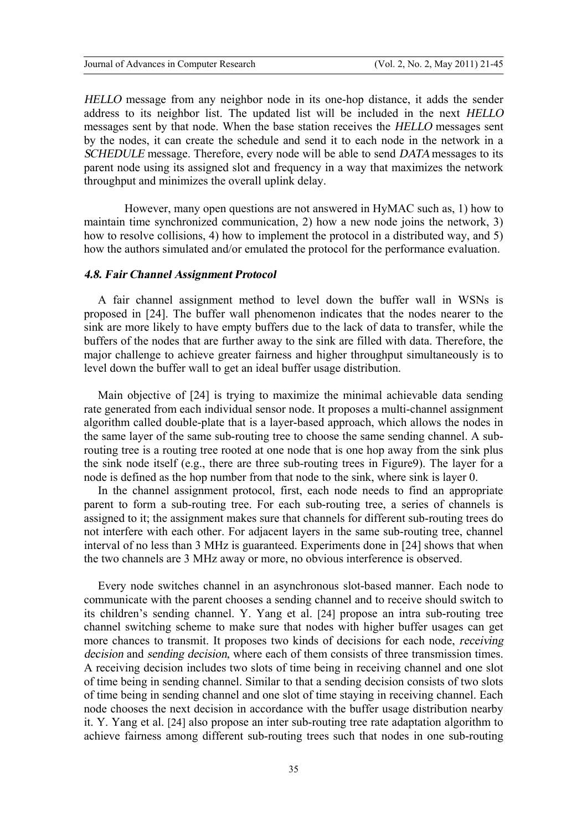Journal of Advances in Computer Research (Vol. 2, No. 2, May 2011) 21-45

*HELLO* message from any neighbor node in its one-hop distance, it adds the sender address to its neighbor list. The updated list will be included in the next *HELLO* messages sent by that node. When the base station receives the *HELLO* messages sent by the nodes, it can create the schedule and send it to each node in the network in a *SCHEDULE* message. Therefore, every node will be able to send *DATA* messages to its parent node using its assigned slot and frequency in a way that maximizes the network throughput and minimizes the overall uplink delay.

 However, many open questions are not answered in HyMAC such as, 1) how to maintain time synchronized communication, 2) how a new node joins the network, 3) how to resolve collisions, 4) how to implement the protocol in a distributed way, and 5) how the authors simulated and/or emulated the protocol for the performance evaluation.

# *4.8. Fair Channel Assignment Protocol*

A fair channel assignment method to level down the buffer wall in WSNs is proposed in [24]. The buffer wall phenomenon indicates that the nodes nearer to the sink are more likely to have empty buffers due to the lack of data to transfer, while the buffers of the nodes that are further away to the sink are filled with data. Therefore, the major challenge to achieve greater fairness and higher throughput simultaneously is to level down the buffer wall to get an ideal buffer usage distribution.

Main objective of [24] is trying to maximize the minimal achievable data sending rate generated from each individual sensor node. It proposes a multi-channel assignment algorithm called double-plate that is a layer-based approach, which allows the nodes in the same layer of the same sub-routing tree to choose the same sending channel. A subrouting tree is a routing tree rooted at one node that is one hop away from the sink plus the sink node itself (e.g., there are three sub-routing trees in Figure9). The layer for a node is defined as the hop number from that node to the sink, where sink is layer 0.

In the channel assignment protocol, first, each node needs to find an appropriate parent to form a sub-routing tree. For each sub-routing tree, a series of channels is assigned to it; the assignment makes sure that channels for different sub-routing trees do not interfere with each other. For adjacent layers in the same sub-routing tree, channel interval of no less than 3 MHz is guaranteed. Experiments done in [24] shows that when the two channels are 3 MHz away or more, no obvious interference is observed.

Every node switches channel in an asynchronous slot-based manner. Each node to communicate with the parent chooses a sending channel and to receive should switch to its children's sending channel. Y. Yang et al*.* [24] propose an intra sub-routing tree channel switching scheme to make sure that nodes with higher buffer usages can get more chances to transmit. It proposes two kinds of decisions for each node, *receiving decision* and *sending decision,* where each of them consists of three transmission times. A receiving decision includes two slots of time being in receiving channel and one slot of time being in sending channel. Similar to that a sending decision consists of two slots of time being in sending channel and one slot of time staying in receiving channel. Each node chooses the next decision in accordance with the buffer usage distribution nearby it. Y. Yang et al. [24] also propose an inter sub-routing tree rate adaptation algorithm to achieve fairness among different sub-routing trees such that nodes in one sub-routing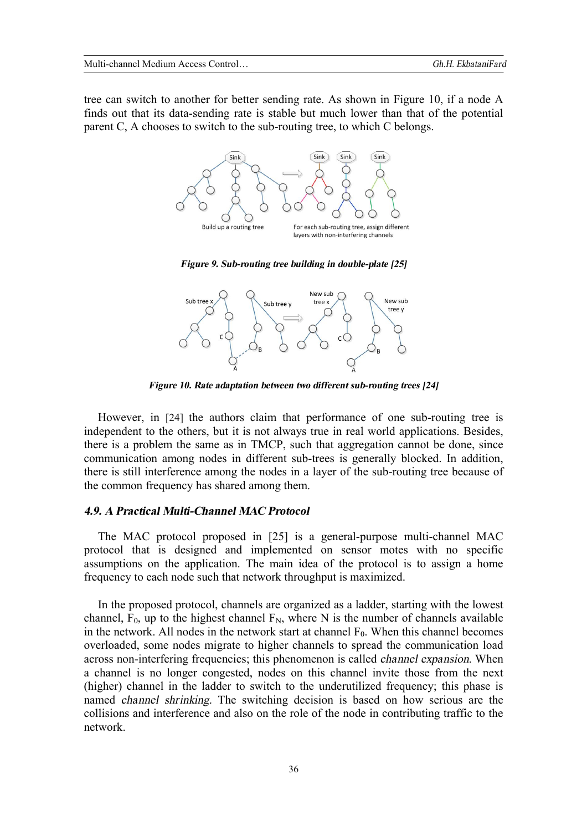tree can switch to another for better sending rate. As shown in Figure 10, if a node A finds out that its data-sending rate is stable but much lower than that of the potential parent C, A chooses to switch to the sub-routing tree, to which C belongs.



*Figure 9. Sub-routing tree building in double-plate [25]* 



*Figure 10. Rate adaptation between two different sub-routing trees [24]* 

However, in [24] the authors claim that performance of one sub-routing tree is independent to the others, but it is not always true in real world applications. Besides, there is a problem the same as in TMCP, such that aggregation cannot be done, since communication among nodes in different sub-trees is generally blocked. In addition, there is still interference among the nodes in a layer of the sub-routing tree because of the common frequency has shared among them.

#### *4.9. A Practical Multi-Channel MAC Protocol*

The MAC protocol proposed in [25] is a general-purpose multi-channel MAC protocol that is designed and implemented on sensor motes with no specific assumptions on the application. The main idea of the protocol is to assign a home frequency to each node such that network throughput is maximized.

In the proposed protocol, channels are organized as a ladder, starting with the lowest channel,  $F_0$ , up to the highest channel  $F_N$ , where N is the number of channels available in the network. All nodes in the network start at channel  $F_0$ . When this channel becomes overloaded, some nodes migrate to higher channels to spread the communication load across non-interfering frequencies; this phenomenon is called *channel expansion*. When a channel is no longer congested, nodes on this channel invite those from the next (higher) channel in the ladder to switch to the underutilized frequency; this phase is named *channel shrinking.* The switching decision is based on how serious are the collisions and interference and also on the role of the node in contributing traffic to the network.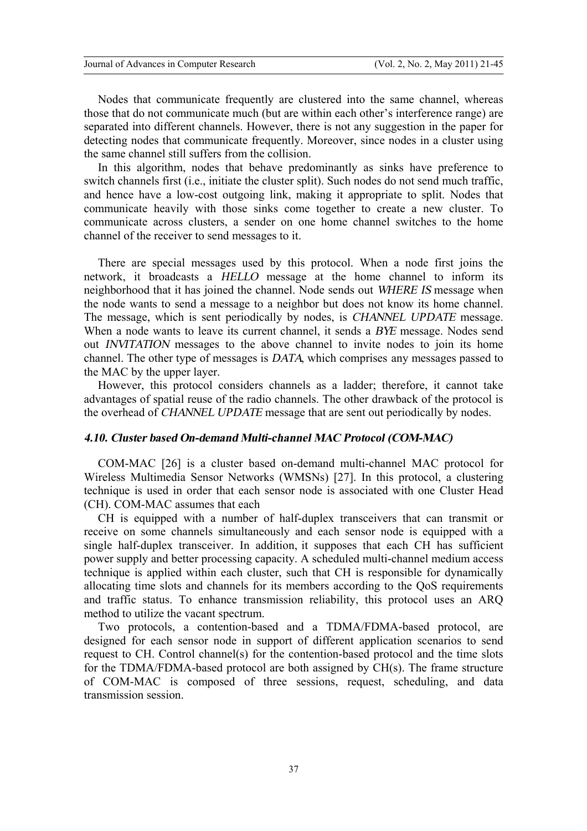Nodes that communicate frequently are clustered into the same channel, whereas those that do not communicate much (but are within each other's interference range) are separated into different channels. However, there is not any suggestion in the paper for detecting nodes that communicate frequently. Moreover, since nodes in a cluster using the same channel still suffers from the collision.

In this algorithm, nodes that behave predominantly as sinks have preference to switch channels first (i.e., initiate the cluster split). Such nodes do not send much traffic, and hence have a low-cost outgoing link, making it appropriate to split. Nodes that communicate heavily with those sinks come together to create a new cluster. To communicate across clusters, a sender on one home channel switches to the home channel of the receiver to send messages to it.

There are special messages used by this protocol. When a node first joins the network, it broadcasts a *HELLO* message at the home channel to inform its neighborhood that it has joined the channel. Node sends out *WHERE IS* message when the node wants to send a message to a neighbor but does not know its home channel. The message, which is sent periodically by nodes, is *CHANNEL UPDATE* message. When a node wants to leave its current channel, it sends a *BYE* message. Nodes send out *INVITATION* messages to the above channel to invite nodes to join its home channel. The other type of messages is *DATA*, which comprises any messages passed to the MAC by the upper layer.

However, this protocol considers channels as a ladder; therefore, it cannot take advantages of spatial reuse of the radio channels. The other drawback of the protocol is the overhead of *CHANNEL UPDATE* message that are sent out periodically by nodes.

#### *4.10. Cluster based On-demand Multi-channel MAC Protocol (COM-MAC)*

COM-MAC [26] is a cluster based on-demand multi-channel MAC protocol for Wireless Multimedia Sensor Networks (WMSNs) [27]. In this protocol, a clustering technique is used in order that each sensor node is associated with one Cluster Head (CH). COM-MAC assumes that each

CH is equipped with a number of half-duplex transceivers that can transmit or receive on some channels simultaneously and each sensor node is equipped with a single half-duplex transceiver. In addition, it supposes that each CH has sufficient power supply and better processing capacity. A scheduled multi-channel medium access technique is applied within each cluster, such that CH is responsible for dynamically allocating time slots and channels for its members according to the QoS requirements and traffic status. To enhance transmission reliability, this protocol uses an ARQ method to utilize the vacant spectrum.

Two protocols, a contention-based and a TDMA/FDMA-based protocol, are designed for each sensor node in support of different application scenarios to send request to CH. Control channel(s) for the contention-based protocol and the time slots for the TDMA/FDMA-based protocol are both assigned by CH(s). The frame structure of COM-MAC is composed of three sessions, request, scheduling, and data transmission session.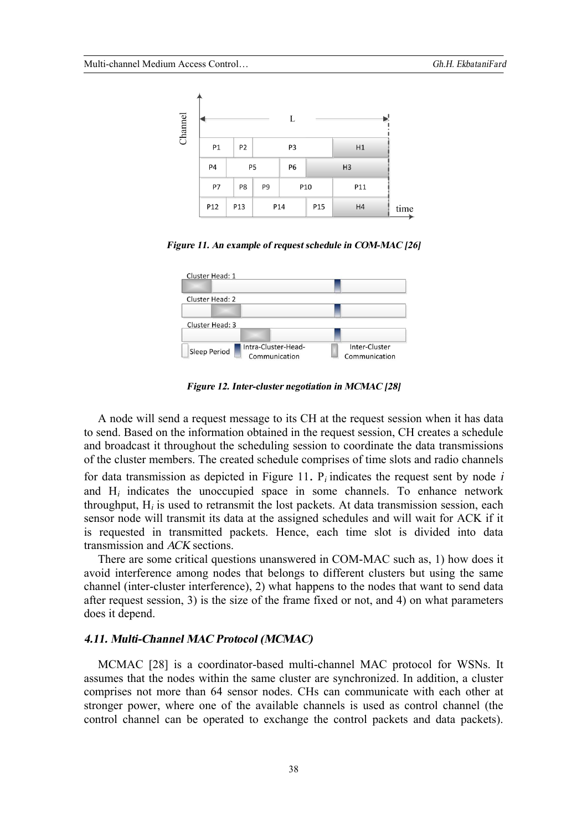

*Figure 11. An example of request schedule in COM-MAC [26]* 



*Figure 12. Inter-cluster negotiation in MCMAC [28]* 

A node will send a request message to its CH at the request session when it has data to send. Based on the information obtained in the request session, CH creates a schedule and broadcast it throughout the scheduling session to coordinate the data transmissions of the cluster members. The created schedule comprises of time slots and radio channels

for data transmission as depicted in Figure 11. P*<sup>i</sup>* indicates the request sent by node *<sup>i</sup>* and H*<sup>i</sup>* indicates the unoccupied space in some channels. To enhance network throughput, H*<sup>i</sup>* is used to retransmit the lost packets. At data transmission session, each sensor node will transmit its data at the assigned schedules and will wait for ACK if it is requested in transmitted packets. Hence, each time slot is divided into data transmission and *ACK* sections.

There are some critical questions unanswered in COM-MAC such as, 1) how does it avoid interference among nodes that belongs to different clusters but using the same channel (inter-cluster interference), 2) what happens to the nodes that want to send data after request session, 3) is the size of the frame fixed or not, and 4) on what parameters does it depend.

#### *4.11. Multi-Channel MAC Protocol (MCMAC)*

MCMAC [28] is a coordinator-based multi-channel MAC protocol for WSNs. It assumes that the nodes within the same cluster are synchronized. In addition, a cluster comprises not more than 64 sensor nodes. CHs can communicate with each other at stronger power, where one of the available channels is used as control channel (the control channel can be operated to exchange the control packets and data packets).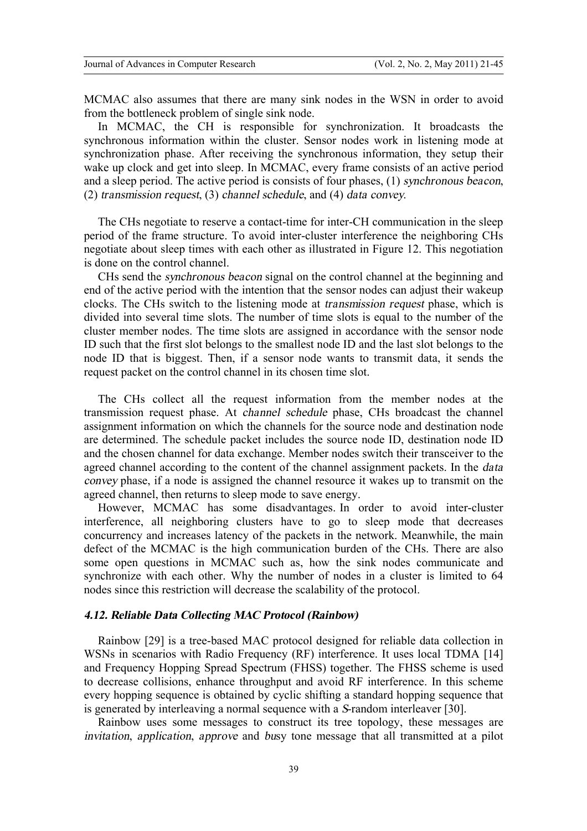MCMAC also assumes that there are many sink nodes in the WSN in order to avoid from the bottleneck problem of single sink node.

In MCMAC, the CH is responsible for synchronization. It broadcasts the synchronous information within the cluster. Sensor nodes work in listening mode at synchronization phase. After receiving the synchronous information, they setup their wake up clock and get into sleep. In MCMAC, every frame consists of an active period and a sleep period. The active period is consists of four phases, (1) *synchronous beacon*, (2) *transmission request*, (3) *channel schedule*, and (4) *data convey*.

The CHs negotiate to reserve a contact-time for inter-CH communication in the sleep period of the frame structure. To avoid inter-cluster interference the neighboring CHs negotiate about sleep times with each other as illustrated in Figure 12. This negotiation is done on the control channel.

CHs send the *synchronous beacon* signal on the control channel at the beginning and end of the active period with the intention that the sensor nodes can adjust their wakeup clocks. The CHs switch to the listening mode at *transmission request* phase, which is divided into several time slots. The number of time slots is equal to the number of the cluster member nodes. The time slots are assigned in accordance with the sensor node ID such that the first slot belongs to the smallest node ID and the last slot belongs to the node ID that is biggest. Then, if a sensor node wants to transmit data, it sends the request packet on the control channel in its chosen time slot.

The CHs collect all the request information from the member nodes at the transmission request phase. At *channel schedule* phase, CHs broadcast the channel assignment information on which the channels for the source node and destination node are determined. The schedule packet includes the source node ID, destination node ID and the chosen channel for data exchange. Member nodes switch their transceiver to the agreed channel according to the content of the channel assignment packets. In the *data convey* phase, if a node is assigned the channel resource it wakes up to transmit on the agreed channel, then returns to sleep mode to save energy.

However, MCMAC has some disadvantages. In order to avoid inter-cluster interference, all neighboring clusters have to go to sleep mode that decreases concurrency and increases latency of the packets in the network. Meanwhile, the main defect of the MCMAC is the high communication burden of the CHs. There are also some open questions in MCMAC such as, how the sink nodes communicate and synchronize with each other. Why the number of nodes in a cluster is limited to 64 nodes since this restriction will decrease the scalability of the protocol.

#### *4.12. Reliable Data Collecting MAC Protocol (Rainbow)*

Rainbow [29] is a tree-based MAC protocol designed for reliable data collection in WSNs in scenarios with Radio Frequency (RF) interference. It uses local TDMA [14] and Frequency Hopping Spread Spectrum (FHSS) together. The FHSS scheme is used to decrease collisions, enhance throughput and avoid RF interference. In this scheme every hopping sequence is obtained by cyclic shifting a standard hopping sequence that is generated by interleaving a normal sequence with a *S*-random interleaver [30].

Rainbow uses some messages to construct its tree topology, these messages are *invitation*, *application*, *approve* and *bu*sy tone message that all transmitted at a pilot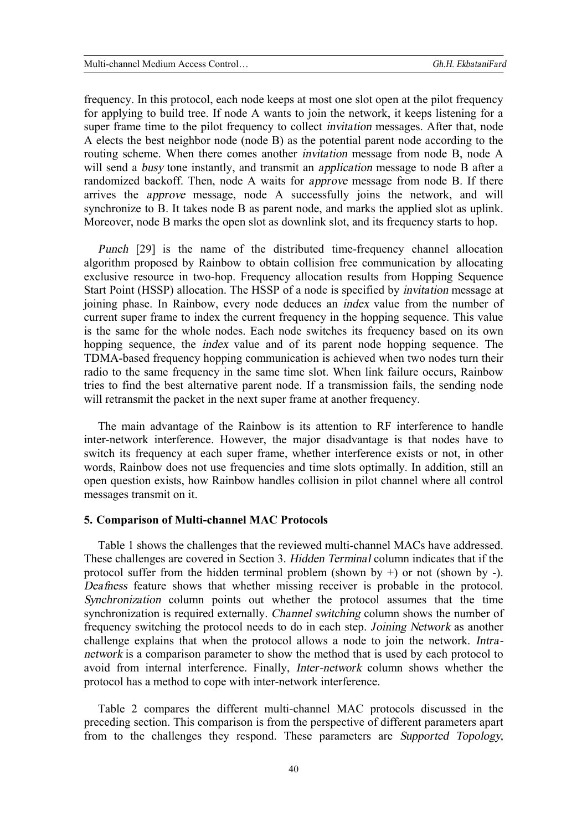frequency. In this protocol, each node keeps at most one slot open at the pilot frequency for applying to build tree. If node A wants to join the network, it keeps listening for a super frame time to the pilot frequency to collect *invitation* messages. After that, node A elects the best neighbor node (node B) as the potential parent node according to the routing scheme. When there comes another *invitation* message from node B, node A will send a *busy* tone instantly, and transmit an *application* message to node B after a randomized backoff. Then, node A waits for *approve* message from node B. If there arrives the *approve* message, node A successfully joins the network, and will synchronize to B. It takes node B as parent node, and marks the applied slot as uplink. Moreover, node B marks the open slot as downlink slot, and its frequency starts to hop.

*Punch* [29] is the name of the distributed time-frequency channel allocation algorithm proposed by Rainbow to obtain collision free communication by allocating exclusive resource in two-hop. Frequency allocation results from Hopping Sequence Start Point (HSSP) allocation. The HSSP of a node is specified by *invitation* message at joining phase. In Rainbow, every node deduces an *index* value from the number of current super frame to index the current frequency in the hopping sequence. This value is the same for the whole nodes. Each node switches its frequency based on its own hopping sequence, the *index* value and of its parent node hopping sequence. The TDMA-based frequency hopping communication is achieved when two nodes turn their radio to the same frequency in the same time slot. When link failure occurs, Rainbow tries to find the best alternative parent node. If a transmission fails, the sending node will retransmit the packet in the next super frame at another frequency.

The main advantage of the Rainbow is its attention to RF interference to handle inter-network interference. However, the major disadvantage is that nodes have to switch its frequency at each super frame, whether interference exists or not, in other words, Rainbow does not use frequencies and time slots optimally. In addition, still an open question exists, how Rainbow handles collision in pilot channel where all control messages transmit on it.

#### **5. Comparison of Multi-channel MAC Protocols**

Table 1 shows the challenges that the reviewed multi-channel MACs have addressed. These challenges are covered in Section 3. *Hidden Terminal* column indicates that if the protocol suffer from the hidden terminal problem (shown by  $+$ ) or not (shown by  $-$ ). *Deafness* feature shows that whether missing receiver is probable in the protocol. *Synchronization* column points out whether the protocol assumes that the time synchronization is required externally. *Channel switching* column shows the number of frequency switching the protocol needs to do in each step. *Joining Network* as another challenge explains that when the protocol allows a node to join the network. *Intranetwork* is a comparison parameter to show the method that is used by each protocol to avoid from internal interference. Finally, *Inter-network* column shows whether the protocol has a method to cope with inter-network interference.

Table 2 compares the different multi-channel MAC protocols discussed in the preceding section. This comparison is from the perspective of different parameters apart from to the challenges they respond. These parameters are *Supported Topology,*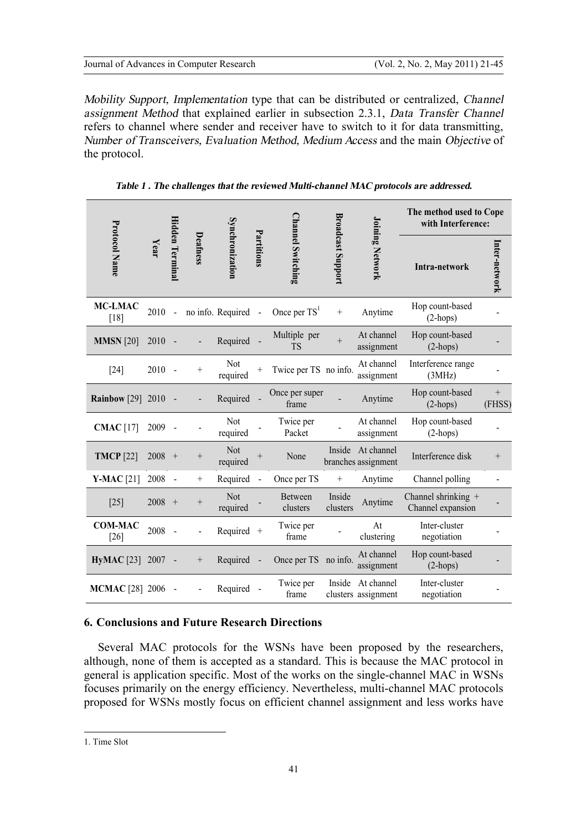*Mobility Support, Implementation* type that can be distributed or centralized, *Channel assignment Method* that explained earlier in subsection 2.3.1, *Data Transfer Channel*  refers to channel where sender and receiver have to switch to it for data transmitting, *Number of Transceivers, Evaluation Method, Medium Access* and the main *Objective* of the protocol.

|                                                                                                                                                                                                                                                                                                                                                                                                                                                                                                   |                          | Year     | Hidden Terminal          | Deafness | Synchronization        | Partitions |                            |                          |                                   | The method used to Cope<br>with Interference: |                            |
|---------------------------------------------------------------------------------------------------------------------------------------------------------------------------------------------------------------------------------------------------------------------------------------------------------------------------------------------------------------------------------------------------------------------------------------------------------------------------------------------------|--------------------------|----------|--------------------------|----------|------------------------|------------|----------------------------|--------------------------|-----------------------------------|-----------------------------------------------|----------------------------|
|                                                                                                                                                                                                                                                                                                                                                                                                                                                                                                   | Protocol Name            |          |                          |          |                        |            | <b>Channel Switching</b>   | <b>Broadcast Support</b> | <b>Joining Network</b>            | Intra-network                                 | Inter-network              |
|                                                                                                                                                                                                                                                                                                                                                                                                                                                                                                   | MC-LMAC<br>[18]          | 2010     |                          |          | no info. Required      |            | Once per $TS1$             | $^{+}$                   | Anytime                           | Hop count-based<br>$(2-hops)$                 |                            |
|                                                                                                                                                                                                                                                                                                                                                                                                                                                                                                   | <b>MMSN</b> [20]         | 2010     |                          |          | Required               |            | Multiple per<br><b>TS</b>  | $\ddot{}$                | At channel<br>assignment          | Hop count-based<br>$(2-hops)$                 |                            |
|                                                                                                                                                                                                                                                                                                                                                                                                                                                                                                   | $[24]$                   | 2010     | $\overline{\phantom{a}}$ | $^{+}$   | Not<br>required        |            | Twice per TS no info.      |                          | At channel<br>assignment          | Interference range<br>(3MHz)                  |                            |
|                                                                                                                                                                                                                                                                                                                                                                                                                                                                                                   | <b>Rainbow</b> [29] 2010 |          |                          |          | Required               |            | Once per super<br>frame    |                          | Anytime                           | Hop count-based<br>$(2-hops)$                 | $\boldsymbol{+}$<br>(FHSS) |
|                                                                                                                                                                                                                                                                                                                                                                                                                                                                                                   | <b>CMAC</b> [17]         | 2009     |                          |          | Not<br>required        |            | Twice per<br>Packet        |                          | At channel<br>assignment          | Hop count-based<br>$(2-hops)$                 |                            |
|                                                                                                                                                                                                                                                                                                                                                                                                                                                                                                   | <b>TMCP</b> [22]         | 2008     | $+$                      | $^{+}$   | <b>Not</b><br>required | $^{+}$     | None                       | Inside                   | At channel<br>branches assignment | Interference disk                             | $^{+}$                     |
|                                                                                                                                                                                                                                                                                                                                                                                                                                                                                                   | Y-MAC $[21]$             | 2008     | $\overline{a}$           | $^{+}$   | Required               |            | Once per TS                | $^+$                     | Anytime                           | Channel polling                               | $\overline{a}$             |
|                                                                                                                                                                                                                                                                                                                                                                                                                                                                                                   | $[25]$                   | $2008 +$ |                          | $^{+}$   | Not<br>required        |            | <b>Between</b><br>clusters | Inside<br>clusters       | Anytime                           | Channel shrinking +<br>Channel expansion      |                            |
|                                                                                                                                                                                                                                                                                                                                                                                                                                                                                                   | <b>COM-MAC</b><br>[26]   | 2008     |                          |          | Required               | $^{+}$     | Twice per<br>frame         |                          | At<br>clustering                  | Inter-cluster<br>negotiation                  |                            |
|                                                                                                                                                                                                                                                                                                                                                                                                                                                                                                   | $HyMAC$ [23]             | 2007     |                          | $^+$     | Required               |            | Once per TS                | no info.                 | At channel<br>assignment          | Hop count-based<br>$(2-hops)$                 |                            |
|                                                                                                                                                                                                                                                                                                                                                                                                                                                                                                   | <b>MCMAC</b> [28] 2006   |          |                          |          | Required               |            | Twice per<br>frame         | Inside                   | At channel<br>clusters assignment | Inter-cluster<br>negotiation                  |                            |
| <b>6. Conclusions and Future Research Directions</b><br>Several MAC protocols for the WSNs have been proposed by the researchers,<br>although, none of them is accepted as a standard. This is because the MAC protocol in<br>general is application specific. Most of the works on the single-channel MAC in WSNs<br>focuses primarily on the energy efficiency. Nevertheless, multi-channel MAC protocols<br>proposed for WSNs mostly focus on efficient channel assignment and less works have |                          |          |                          |          |                        |            |                            |                          |                                   |                                               |                            |
|                                                                                                                                                                                                                                                                                                                                                                                                                                                                                                   | 1. Time Slot             |          |                          |          |                        |            |                            |                          |                                   |                                               |                            |

*Table 1 . The challenges that the reviewed Multi-channel MAC protocols are addressed.* 

# **6. Conclusions and Future Research Directions**

<sup>1.</sup> Time Slot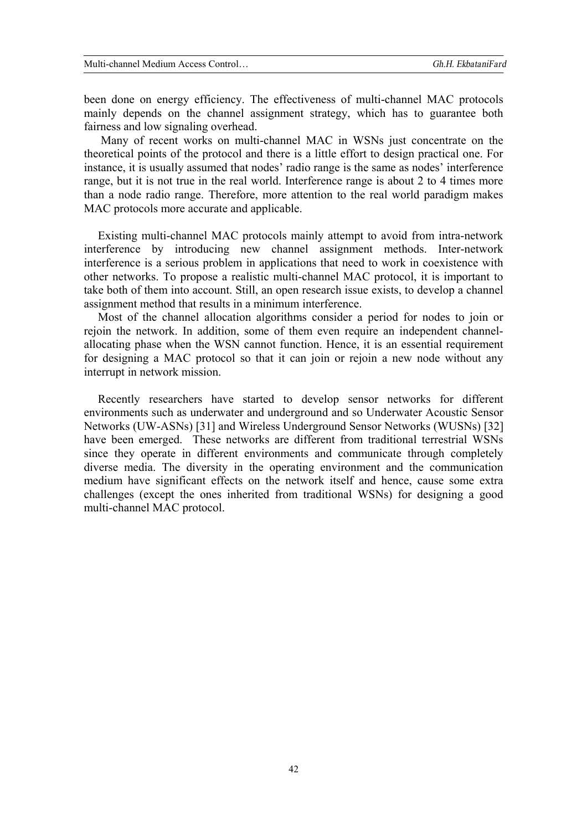been done on energy efficiency. The effectiveness of multi-channel MAC protocols mainly depends on the channel assignment strategy, which has to guarantee both fairness and low signaling overhead.

 Many of recent works on multi-channel MAC in WSNs just concentrate on the theoretical points of the protocol and there is a little effort to design practical one. For instance, it is usually assumed that nodes' radio range is the same as nodes' interference range, but it is not true in the real world. Interference range is about 2 to 4 times more than a node radio range. Therefore, more attention to the real world paradigm makes MAC protocols more accurate and applicable.

Existing multi-channel MAC protocols mainly attempt to avoid from intra-network interference by introducing new channel assignment methods. Inter-network interference is a serious problem in applications that need to work in coexistence with other networks. To propose a realistic multi-channel MAC protocol, it is important to take both of them into account. Still, an open research issue exists, to develop a channel assignment method that results in a minimum interference.

Most of the channel allocation algorithms consider a period for nodes to join or rejoin the network. In addition, some of them even require an independent channelallocating phase when the WSN cannot function. Hence, it is an essential requirement for designing a MAC protocol so that it can join or rejoin a new node without any interrupt in network mission.

Recently researchers have started to develop sensor networks for different environments such as underwater and underground and so Underwater Acoustic Sensor Networks (UW-ASNs) [31] and Wireless Underground Sensor Networks (WUSNs) [32] have been emerged. These networks are different from traditional terrestrial WSNs since they operate in different environments and communicate through completely diverse media. The diversity in the operating environment and the communication medium have significant effects on the network itself and hence, cause some extra challenges (except the ones inherited from traditional WSNs) for designing a good multi-channel MAC protocol.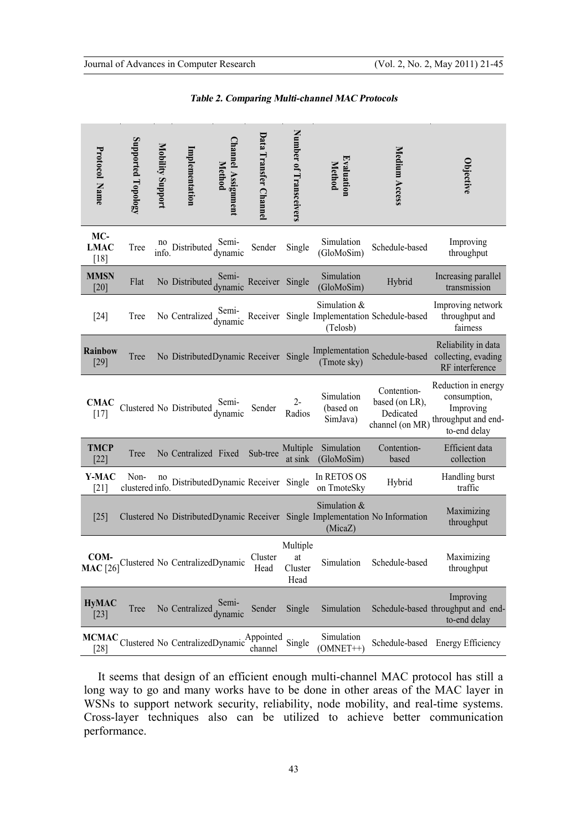| Protocol Name                | Supported Topology      | Mobility Support | Implementation                           | <b>Channel Assignment</b><br><b>Method</b> | Data Transfer Channel | Number of Transceivers            | Evaluation<br><b>Method</b>         | Medium Access                                                                 | Objective                                                                               |
|------------------------------|-------------------------|------------------|------------------------------------------|--------------------------------------------|-----------------------|-----------------------------------|-------------------------------------|-------------------------------------------------------------------------------|-----------------------------------------------------------------------------------------|
| MC-<br><b>LMAC</b><br>$[18]$ | Tree                    | info.            | Distributed                              | Semi-<br>dynamic                           | Sender                | Single                            | Simulation<br>(GloMoSim)            | Schedule-based                                                                | Improving<br>throughput                                                                 |
| <b>MMSN</b><br>$[20]$        | Flat                    |                  | No Distributed                           | Semi-<br>dynamic                           | Receiver Single       |                                   | Simulation<br>(GloMoSim)            | Hybrid                                                                        | Increasing parallel<br>transmission                                                     |
| $[24]$                       | Tree                    |                  | No Centralized                           | Semi-<br>dynamic                           |                       |                                   | Simulation &<br>(Telosb)            | Receiver Single Implementation Schedule-based                                 | Improving network<br>throughput and<br>fairness                                         |
| <b>Rainbow</b><br>$[29]$     | Tree                    |                  | No DistributedDynamic Receiver Single    |                                            |                       |                                   | (Tmote sky)                         | Implementation Schedule-based                                                 | Reliability in data<br>collecting, evading<br>RF interference                           |
| <b>CMAC</b><br>$[17]$        |                         |                  | Clustered No Distributed                 | Semi-<br>dynamic                           | Sender                | $2 -$<br>Radios                   | Simulation<br>(based on<br>SimJava) | Contention-<br>based (on LR),<br>Dedicated<br>channel (on MR)                 | Reduction in energy<br>consumption,<br>Improving<br>throughput and end-<br>to-end delay |
| <b>TMCP</b><br>$[22]$        | Tree                    |                  | No Centralized Fixed                     |                                            | Sub-tree              | Multiple<br>at sink               | Simulation<br>(GloMoSim)            | Contention-<br>based                                                          | Efficient data<br>collection                                                            |
| Y-MAC<br>$[21]$              | Non-<br>clustered info. | no               | Distributed Dynamic Receiver Single      |                                            |                       |                                   | In RETOS OS<br>on TmoteSky          | Hybrid                                                                        | Handling burst<br>traffic                                                               |
| $[25]$                       |                         |                  |                                          |                                            |                       |                                   | Simulation &<br>(MicaZ)             | Clustered No DistributedDynamic Receiver Single Implementation No Information | Maximizing<br>throughput                                                                |
| COM-<br>$MAC$ [26]           |                         |                  | Clustered No CentralizedDynamic          |                                            | Cluster<br>Head       | Multiple<br>at<br>Cluster<br>Head | Simulation                          | Schedule-based                                                                | Maximizing<br>throughput                                                                |
| <b>HyMAC</b><br>$[23]$       | Tree                    |                  | No Centralized                           | Semi-<br>dynamic                           | Sender                | Single                            | Simulation                          |                                                                               | Improving<br>Schedule-based throughput and end-<br>to-end delay                         |
| <b>MCMAC</b><br>$[28]$       |                         |                  | Clustered No CentralizedDynamicAppointed |                                            | channel               | Single                            | Simulation<br>$(OMNET++)$           |                                                                               | Schedule-based Energy Efficiency                                                        |

*Table 2. Comparing Multi-channel MAC Protocols* 

It seems that design of an efficient enough multi-channel MAC protocol has still a long way to go and many works have to be done in other areas of the MAC layer in WSNs to support network security, reliability, node mobility, and real-time systems. Cross-layer techniques also can be utilized to achieve better communication performance.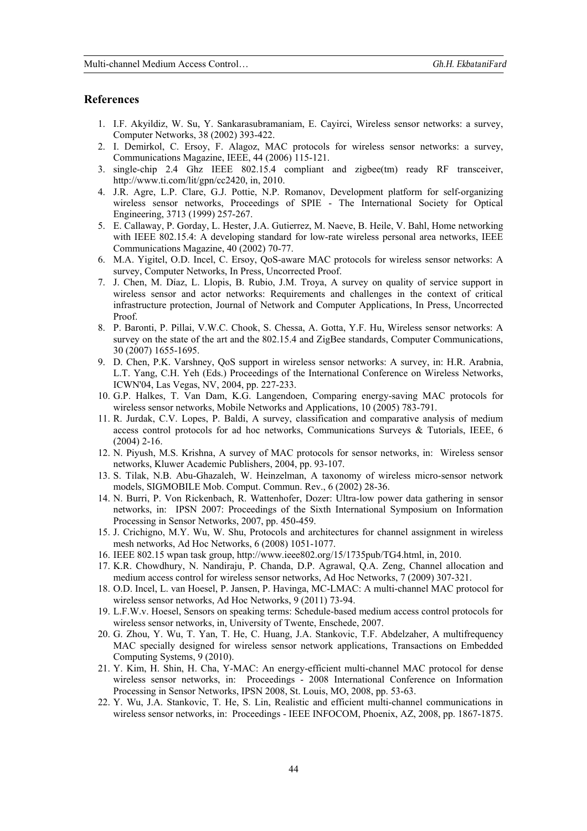#### **References**

- 1. I.F. Akyildiz, W. Su, Y. Sankarasubramaniam, E. Cayirci, Wireless sensor networks: a survey, Computer Networks, 38 (2002) 393-422.
- 2. I. Demirkol, C. Ersoy, F. Alagoz, MAC protocols for wireless sensor networks: a survey, Communications Magazine, IEEE, 44 (2006) 115-121.
- 3. single-chip 2.4 Ghz IEEE 802.15.4 compliant and zigbee(tm) ready RF transceiver, http://www.ti.com/lit/gpn/cc2420, in, 2010.
- 4. J.R. Agre, L.P. Clare, G.J. Pottie, N.P. Romanov, Development platform for self-organizing wireless sensor networks, Proceedings of SPIE - The International Society for Optical Engineering, 3713 (1999) 257-267.
- 5. E. Callaway, P. Gorday, L. Hester, J.A. Gutierrez, M. Naeve, B. Heile, V. Bahl, Home networking with IEEE 802.15.4: A developing standard for low-rate wireless personal area networks, IEEE Communications Magazine, 40 (2002) 70-77.
- 6. M.A. Yigitel, O.D. Incel, C. Ersoy, QoS-aware MAC protocols for wireless sensor networks: A survey, Computer Networks, In Press, Uncorrected Proof.
- 7. J. Chen, M. Díaz, L. Llopis, B. Rubio, J.M. Troya, A survey on quality of service support in wireless sensor and actor networks: Requirements and challenges in the context of critical infrastructure protection, Journal of Network and Computer Applications, In Press, Uncorrected Proof.
- 8. P. Baronti, P. Pillai, V.W.C. Chook, S. Chessa, A. Gotta, Y.F. Hu, Wireless sensor networks: A survey on the state of the art and the 802.15.4 and ZigBee standards, Computer Communications, 30 (2007) 1655-1695.
- 9. D. Chen, P.K. Varshney, QoS support in wireless sensor networks: A survey, in: H.R. Arabnia, L.T. Yang, C.H. Yeh (Eds.) Proceedings of the International Conference on Wireless Networks, ICWN'04, Las Vegas, NV, 2004, pp. 227-233.
- 10. G.P. Halkes, T. Van Dam, K.G. Langendoen, Comparing energy-saving MAC protocols for wireless sensor networks, Mobile Networks and Applications, 10 (2005) 783-791.
- 11. R. Jurdak, C.V. Lopes, P. Baldi, A survey, classification and comparative analysis of medium access control protocols for ad hoc networks, Communications Surveys & Tutorials, IEEE, 6 (2004) 2-16.
- 12. N. Piyush, M.S. Krishna, A survey of MAC protocols for sensor networks, in: Wireless sensor networks, Kluwer Academic Publishers, 2004, pp. 93-107.
- 13. S. Tilak, N.B. Abu-Ghazaleh, W. Heinzelman, A taxonomy of wireless micro-sensor network models, SIGMOBILE Mob. Comput. Commun. Rev., 6 (2002) 28-36.
- 14. N. Burri, P. Von Rickenbach, R. Wattenhofer, Dozer: Ultra-low power data gathering in sensor networks, in: IPSN 2007: Proceedings of the Sixth International Symposium on Information Processing in Sensor Networks, 2007, pp. 450-459.
- 15. J. Crichigno, M.Y. Wu, W. Shu, Protocols and architectures for channel assignment in wireless mesh networks, Ad Hoc Networks, 6 (2008) 1051-1077.
- 16. IEEE 802.15 wpan task group, http://www.ieee802.org/15/1735pub/TG4.html, in, 2010.
- 17. K.R. Chowdhury, N. Nandiraju, P. Chanda, D.P. Agrawal, Q.A. Zeng, Channel allocation and medium access control for wireless sensor networks, Ad Hoc Networks, 7 (2009) 307-321.
- 18. O.D. Incel, L. van Hoesel, P. Jansen, P. Havinga, MC-LMAC: A multi-channel MAC protocol for wireless sensor networks, Ad Hoc Networks, 9 (2011) 73-94.
- 19. L.F.W.v. Hoesel, Sensors on speaking terms: Schedule-based medium access control protocols for wireless sensor networks, in, University of Twente, Enschede, 2007.
- 20. G. Zhou, Y. Wu, T. Yan, T. He, C. Huang, J.A. Stankovic, T.F. Abdelzaher, A multifrequency MAC specially designed for wireless sensor network applications, Transactions on Embedded Computing Systems, 9 (2010).
- 21. Y. Kim, H. Shin, H. Cha, Y-MAC: An energy-efficient multi-channel MAC protocol for dense wireless sensor networks, in: Proceedings - 2008 International Conference on Information Processing in Sensor Networks, IPSN 2008, St. Louis, MO, 2008, pp. 53-63.
- 22. Y. Wu, J.A. Stankovic, T. He, S. Lin, Realistic and efficient multi-channel communications in wireless sensor networks, in: Proceedings - IEEE INFOCOM, Phoenix, AZ, 2008, pp. 1867-1875.